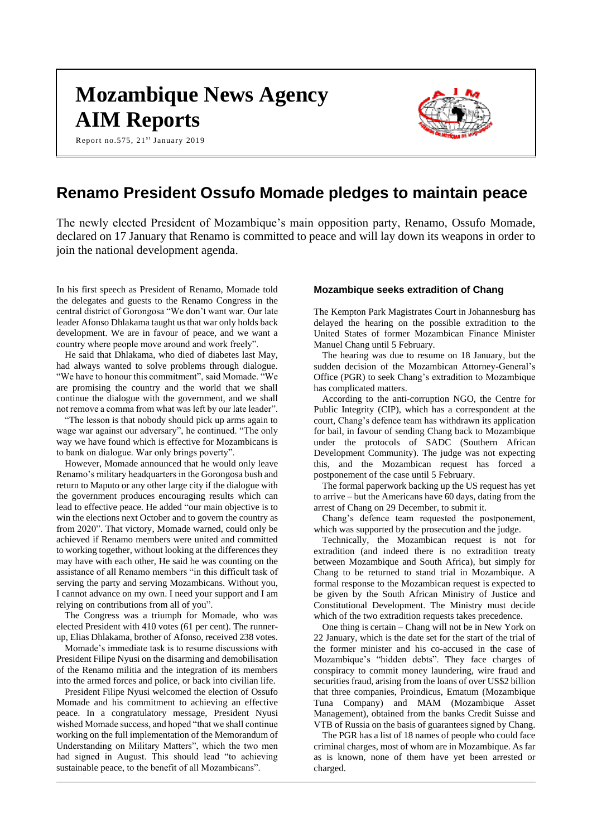# **Mozambique News Agency AIM Reports**

Report no.575,  $21^{st}$  January 2019



# **Renamo President Ossufo Momade pledges to maintain peace**

The newly elected President of Mozambique's main opposition party, Renamo, Ossufo Momade, declared on 17 January that Renamo is committed to peace and will lay down its weapons in order to join the national development agenda.

In his first speech as President of Renamo, Momade told the delegates and guests to the Renamo Congress in the central district of Gorongosa "We don't want war. Our late leader Afonso Dhlakama taught us that war only holds back development. We are in favour of peace, and we want a country where people move around and work freely".

He said that Dhlakama, who died of diabetes last May, had always wanted to solve problems through dialogue. "We have to honour this commitment", said Momade. "We are promising the country and the world that we shall continue the dialogue with the government, and we shall not remove a comma from what was left by our late leader".

"The lesson is that nobody should pick up arms again to wage war against our adversary", he continued. "The only way we have found which is effective for Mozambicans is to bank on dialogue. War only brings poverty".

However, Momade announced that he would only leave Renamo's military headquarters in the Gorongosa bush and return to Maputo or any other large city if the dialogue with the government produces encouraging results which can lead to effective peace. He added "our main objective is to win the elections next October and to govern the country as from 2020". That victory, Momade warned, could only be achieved if Renamo members were united and committed to working together, without looking at the differences they may have with each other, He said he was counting on the assistance of all Renamo members "in this difficult task of serving the party and serving Mozambicans. Without you, I cannot advance on my own. I need your support and I am relying on contributions from all of you".

The Congress was a triumph for Momade, who was elected President with 410 votes (61 per cent). The runnerup, Elias Dhlakama, brother of Afonso, received 238 votes.

Momade's immediate task is to resume discussions with President Filipe Nyusi on the disarming and demobilisation of the Renamo militia and the integration of its members into the armed forces and police, or back into civilian life.

President Filipe Nyusi welcomed the election of Ossufo Momade and his commitment to achieving an effective peace. In a congratulatory message, President Nyusi wished Momade success, and hoped "that we shall continue working on the full implementation of the Memorandum of Understanding on Military Matters", which the two men had signed in August. This should lead "to achieving sustainable peace, to the benefit of all Mozambicans".

### **Mozambique seeks extradition of Chang**

The Kempton Park Magistrates Court in Johannesburg has delayed the hearing on the possible extradition to the United States of former Mozambican Finance Minister Manuel Chang until 5 February.

The hearing was due to resume on 18 January, but the sudden decision of the Mozambican Attorney-General's Office (PGR) to seek Chang's extradition to Mozambique has complicated matters.

According to the anti-corruption NGO, the Centre for Public Integrity (CIP), which has a correspondent at the court, Chang's defence team has withdrawn its application for bail, in favour of sending Chang back to Mozambique under the protocols of SADC (Southern African Development Community). The judge was not expecting this, and the Mozambican request has forced a postponement of the case until 5 February.

The formal paperwork backing up the US request has yet to arrive – but the Americans have 60 days, dating from the arrest of Chang on 29 December, to submit it.

Chang's defence team requested the postponement, which was supported by the prosecution and the judge.

Technically, the Mozambican request is not for extradition (and indeed there is no extradition treaty between Mozambique and South Africa), but simply for Chang to be returned to stand trial in Mozambique. A formal response to the Mozambican request is expected to be given by the South African Ministry of Justice and Constitutional Development. The Ministry must decide which of the two extradition requests takes precedence.

One thing is certain – Chang will not be in New York on 22 January, which is the date set for the start of the trial of the former minister and his co-accused in the case of Mozambique's "hidden debts". They face charges of conspiracy to commit money laundering, wire fraud and securities fraud, arising from the loans of over US\$2 billion that three companies, Proindicus, Ematum (Mozambique Tuna Company) and MAM (Mozambique Asset Management), obtained from the banks Credit Suisse and VTB of Russia on the basis of guarantees signed by Chang.

The PGR has a list of 18 names of people who could face criminal charges, most of whom are in Mozambique. As far as is known, none of them have yet been arrested or charged.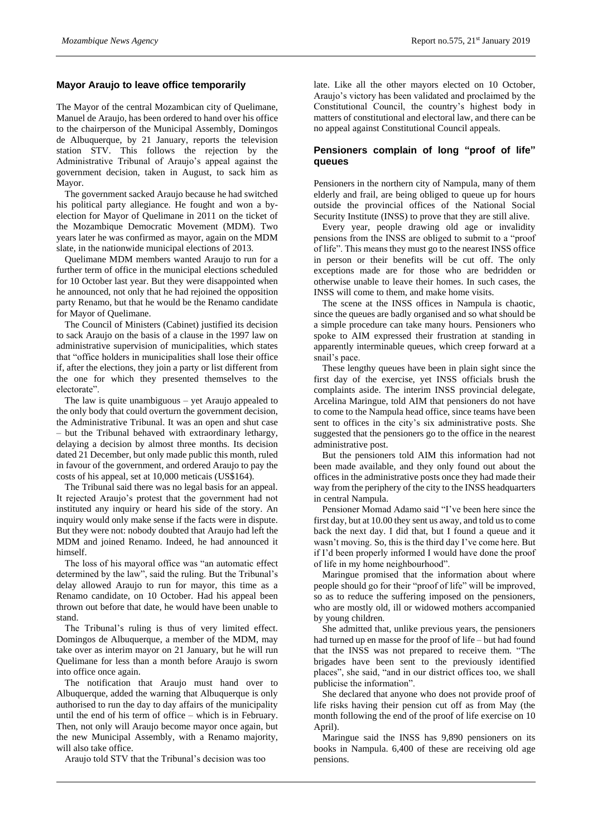## **Mayor Araujo to leave office temporarily**

The Mayor of the central Mozambican city of Quelimane, Manuel de Araujo, has been ordered to hand over his office to the chairperson of the Municipal Assembly, Domingos de Albuquerque, by 21 January, reports the television station STV. This follows the rejection by the Administrative Tribunal of Araujo's appeal against the government decision, taken in August, to sack him as Mayor.

The government sacked Araujo because he had switched his political party allegiance. He fought and won a byelection for Mayor of Quelimane in 2011 on the ticket of the Mozambique Democratic Movement (MDM). Two years later he was confirmed as mayor, again on the MDM slate, in the nationwide municipal elections of 2013.

Quelimane MDM members wanted Araujo to run for a further term of office in the municipal elections scheduled for 10 October last year. But they were disappointed when he announced, not only that he had rejoined the opposition party Renamo, but that he would be the Renamo candidate for Mayor of Quelimane.

The Council of Ministers (Cabinet) justified its decision to sack Araujo on the basis of a clause in the 1997 law on administrative supervision of municipalities, which states that "office holders in municipalities shall lose their office if, after the elections, they join a party or list different from the one for which they presented themselves to the electorate".

The law is quite unambiguous – yet Araujo appealed to the only body that could overturn the government decision, the Administrative Tribunal. It was an open and shut case – but the Tribunal behaved with extraordinary lethargy, delaying a decision by almost three months. Its decision dated 21 December, but only made public this month, ruled in favour of the government, and ordered Araujo to pay the costs of his appeal, set at 10,000 meticais (US\$164).

The Tribunal said there was no legal basis for an appeal. It rejected Araujo's protest that the government had not instituted any inquiry or heard his side of the story. An inquiry would only make sense if the facts were in dispute. But they were not: nobody doubted that Araujo had left the MDM and joined Renamo. Indeed, he had announced it himself.

The loss of his mayoral office was "an automatic effect determined by the law", said the ruling. But the Tribunal's delay allowed Araujo to run for mayor, this time as a Renamo candidate, on 10 October. Had his appeal been thrown out before that date, he would have been unable to stand.

The Tribunal's ruling is thus of very limited effect. Domingos de Albuquerque, a member of the MDM, may take over as interim mayor on 21 January, but he will run Quelimane for less than a month before Araujo is sworn into office once again.

The notification that Araujo must hand over to Albuquerque, added the warning that Albuquerque is only authorised to run the day to day affairs of the municipality until the end of his term of office – which is in February. Then, not only will Araujo become mayor once again, but the new Municipal Assembly, with a Renamo majority, will also take office.

Araujo told STV that the Tribunal's decision was too

late. Like all the other mayors elected on 10 October, Araujo's victory has been validated and proclaimed by the Constitutional Council, the country's highest body in matters of constitutional and electoral law, and there can be no appeal against Constitutional Council appeals.

## **Pensioners complain of long "proof of life" queues**

Pensioners in the northern city of Nampula, many of them elderly and frail, are being obliged to queue up for hours outside the provincial offices of the National Social Security Institute (INSS) to prove that they are still alive.

Every year, people drawing old age or invalidity pensions from the INSS are obliged to submit to a "proof of life". This means they must go to the nearest INSS office in person or their benefits will be cut off. The only exceptions made are for those who are bedridden or otherwise unable to leave their homes. In such cases, the INSS will come to them, and make home visits.

The scene at the INSS offices in Nampula is chaotic, since the queues are badly organised and so what should be a simple procedure can take many hours. Pensioners who spoke to AIM expressed their frustration at standing in apparently interminable queues, which creep forward at a snail's pace.

These lengthy queues have been in plain sight since the first day of the exercise, yet INSS officials brush the complaints aside. The interim INSS provincial delegate, Arcelina Maringue, told AIM that pensioners do not have to come to the Nampula head office, since teams have been sent to offices in the city's six administrative posts. She suggested that the pensioners go to the office in the nearest administrative post.

But the pensioners told AIM this information had not been made available, and they only found out about the offices in the administrative posts once they had made their way from the periphery of the city to the INSS headquarters in central Nampula.

Pensioner Momad Adamo said "I've been here since the first day, but at 10.00 they sent us away, and told us to come back the next day. I did that, but I found a queue and it wasn't moving. So, this is the third day I've come here. But if I'd been properly informed I would have done the proof of life in my home neighbourhood".

Maringue promised that the information about where people should go for their "proof of life" will be improved, so as to reduce the suffering imposed on the pensioners, who are mostly old, ill or widowed mothers accompanied by young children.

She admitted that, unlike previous years, the pensioners had turned up en masse for the proof of life – but had found that the INSS was not prepared to receive them. "The brigades have been sent to the previously identified places", she said, "and in our district offices too, we shall publicise the information".

She declared that anyone who does not provide proof of life risks having their pension cut off as from May (the month following the end of the proof of life exercise on 10 April).

Maringue said the INSS has 9,890 pensioners on its books in Nampula. 6,400 of these are receiving old age pensions.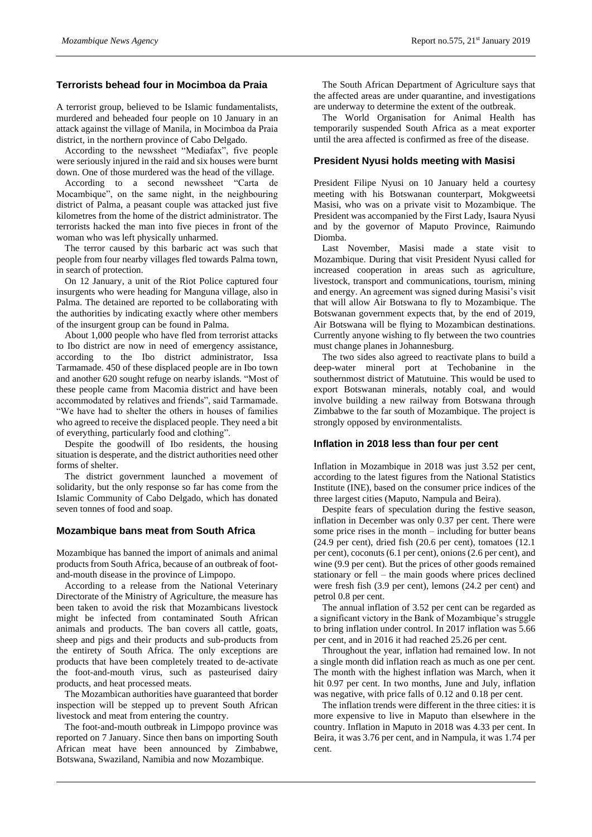#### **Terrorists behead four in Mocimboa da Praia**

A terrorist group, believed to be Islamic fundamentalists, murdered and beheaded four people on 10 January in an attack against the village of Manila, in Mocimboa da Praia district, in the northern province of Cabo Delgado.

According to the newssheet "Mediafax", five people were seriously injured in the raid and six houses were burnt down. One of those murdered was the head of the village.

According to a second newssheet "Carta de Mocambique", on the same night, in the neighbouring district of Palma, a peasant couple was attacked just five kilometres from the home of the district administrator. The terrorists hacked the man into five pieces in front of the woman who was left physically unharmed.

The terror caused by this barbaric act was such that people from four nearby villages fled towards Palma town, in search of protection.

On 12 January, a unit of the Riot Police captured four insurgents who were heading for Manguna village, also in Palma. The detained are reported to be collaborating with the authorities by indicating exactly where other members of the insurgent group can be found in Palma.

About 1,000 people who have fled from terrorist attacks to Ibo district are now in need of emergency assistance, according to the Ibo district administrator, Issa Tarmamade. 450 of these displaced people are in Ibo town and another 620 sought refuge on nearby islands. "Most of these people came from Macomia district and have been accommodated by relatives and friends", said Tarmamade. "We have had to shelter the others in houses of families who agreed to receive the displaced people. They need a bit of everything, particularly food and clothing".

Despite the goodwill of Ibo residents, the housing situation is desperate, and the district authorities need other forms of shelter.

The district government launched a movement of solidarity, but the only response so far has come from the Islamic Community of Cabo Delgado, which has donated seven tonnes of food and soap.

#### **Mozambique bans meat from South Africa**

Mozambique has banned the import of animals and animal products from South Africa, because of an outbreak of footand-mouth disease in the province of Limpopo.

According to a release from the National Veterinary Directorate of the Ministry of Agriculture, the measure has been taken to avoid the risk that Mozambicans livestock might be infected from contaminated South African animals and products. The ban covers all cattle, goats, sheep and pigs and their products and sub-products from the entirety of South Africa. The only exceptions are products that have been completely treated to de-activate the foot-and-mouth virus, such as pasteurised dairy products, and heat processed meats.

The Mozambican authorities have guaranteed that border inspection will be stepped up to prevent South African livestock and meat from entering the country.

The foot-and-mouth outbreak in Limpopo province was reported on 7 January. Since then bans on importing South African meat have been announced by Zimbabwe, Botswana, Swaziland, Namibia and now Mozambique.

The South African Department of Agriculture says that the affected areas are under quarantine, and investigations are underway to determine the extent of the outbreak.

The World Organisation for Animal Health has temporarily suspended South Africa as a meat exporter until the area affected is confirmed as free of the disease.

#### **President Nyusi holds meeting with Masisi**

President Filipe Nyusi on 10 January held a courtesy meeting with his Botswanan counterpart, Mokgweetsi Masisi, who was on a private visit to Mozambique. The President was accompanied by the First Lady, Isaura Nyusi and by the governor of Maputo Province, Raimundo Diomba.

Last November, Masisi made a state visit to Mozambique. During that visit President Nyusi called for increased cooperation in areas such as agriculture, livestock, transport and communications, tourism, mining and energy. An agreement was signed during Masisi's visit that will allow Air Botswana to fly to Mozambique. The Botswanan government expects that, by the end of 2019, Air Botswana will be flying to Mozambican destinations. Currently anyone wishing to fly between the two countries must change planes in Johannesburg.

The two sides also agreed to reactivate plans to build a deep-water mineral port at Techobanine in the southernmost district of Matutuine. This would be used to export Botswanan minerals, notably coal, and would involve building a new railway from Botswana through Zimbabwe to the far south of Mozambique. The project is strongly opposed by environmentalists.

#### **Inflation in 2018 less than four per cent**

Inflation in Mozambique in 2018 was just 3.52 per cent, according to the latest figures from the National Statistics Institute (INE), based on the consumer price indices of the three largest cities (Maputo, Nampula and Beira).

Despite fears of speculation during the festive season, inflation in December was only 0.37 per cent. There were some price rises in the month – including for butter beans (24.9 per cent), dried fish (20.6 per cent), tomatoes (12.1 per cent), coconuts (6.1 per cent), onions (2.6 per cent), and wine (9.9 per cent). But the prices of other goods remained stationary or fell – the main goods where prices declined were fresh fish (3.9 per cent), lemons (24.2 per cent) and petrol 0.8 per cent.

The annual inflation of 3.52 per cent can be regarded as a significant victory in the Bank of Mozambique's struggle to bring inflation under control. In 2017 inflation was 5.66 per cent, and in 2016 it had reached 25.26 per cent.

Throughout the year, inflation had remained low. In not a single month did inflation reach as much as one per cent. The month with the highest inflation was March, when it hit 0.97 per cent. In two months, June and July, inflation was negative, with price falls of 0.12 and 0.18 per cent.

The inflation trends were different in the three cities: it is more expensive to live in Maputo than elsewhere in the country. Inflation in Maputo in 2018 was 4.33 per cent. In Beira, it was 3.76 per cent, and in Nampula, it was 1.74 per cent.